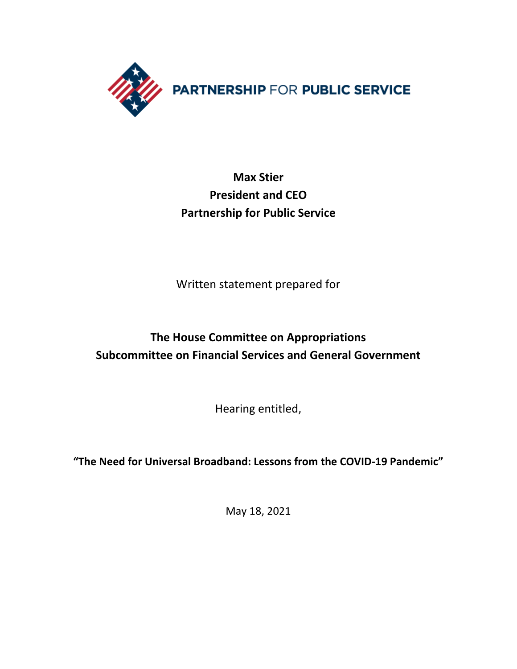

# **Max Stier President and CEO Partnership for Public Service**

Written statement prepared for

# **The House Committee on Appropriations Subcommittee on Financial Services and General Government**

Hearing entitled,

**"The Need for Universal Broadband: Lessons from the COVID-19 Pandemic"**

May 18, 2021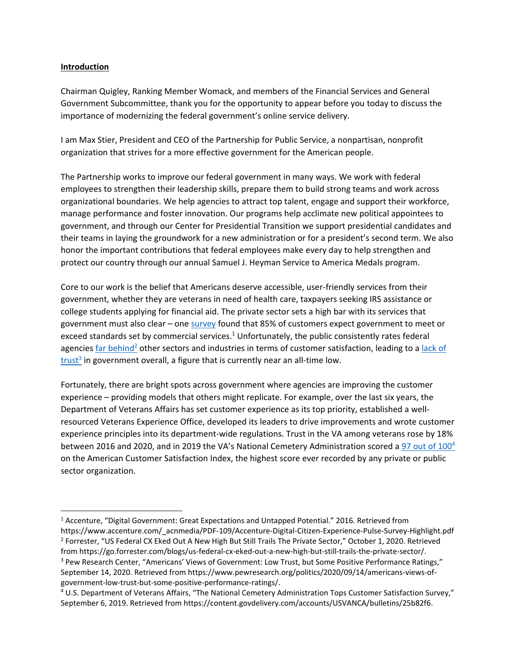#### **Introduction**

Chairman Quigley, Ranking Member Womack, and members of the Financial Services and General Government Subcommittee, thank you for the opportunity to appear before you today to discuss the importance of modernizing the federal government's online service delivery.

I am Max Stier, President and CEO of the Partnership for Public Service, a nonpartisan, nonprofit organization that strives for a more effective government for the American people.

The Partnership works to improve our federal government in many ways. We work with federal employees to strengthen their leadership skills, prepare them to build strong teams and work across organizational boundaries. We help agencies to attract top talent, engage and support their workforce, manage performance and foster innovation. Our programs help acclimate new political appointees to government, and through our Center for Presidential Transition we support presidential candidates and their teams in laying the groundwork for a new administration or for a president's second term. We also honor the important contributions that federal employees make every day to help strengthen and protect our country through our annual Samuel J. Heyman Service to America Medals program.

Core to our work is the belief that Americans deserve accessible, user-friendly services from their government, whether they are veterans in need of health care, taxpayers seeking IRS assistance or college students applying for financial aid. The private sector sets a high bar with its services that government must also clear – one [survey](https://www.accenture.com/t20161102t223245__w__/us-en/_acnmedia/pdf-35/accenture-digital-citizen-experience-pulse-survey-pov.pdf) found that 85% of customers expect government to meet or exceed standards set by commercial services.<sup>1</sup> Unfortunately, the public consistently rates federal agencies [far behind](https://go.forrester.com/blogs/us-federal-cx-eked-out-a-new-high-but-still-trails-the-private-sector/)<sup>2</sup> other sectors and industries in terms of customer satisfaction, leading to a lack of  $\frac{\text{trust}^3}{\text{in}}$  $\frac{\text{trust}^3}{\text{in}}$  $\frac{\text{trust}^3}{\text{in}}$  in government overall, a figure that is currently near an all-time low.

Fortunately, there are bright spots across government where agencies are improving the customer experience – providing models that others might replicate. For example, over the last six years, the Department of Veterans Affairs has set customer experience as its top priority, established a wellresourced Veterans Experience Office, developed its leaders to drive improvements and wrote customer experience principles into its department-wide regulations. Trust in the VA among veterans rose by 18% between 2016 and 2020, and in 2019 the VA's National Cemetery Administration scored a [97 out](https://content.govdelivery.com/accounts/USVANCA/bulletins/25b82f6) of 100<sup>4</sup> on the American Customer Satisfaction Index, the highest score ever recorded by any private or public sector organization.

<sup>1</sup> Accenture, "Digital Government: Great Expectations and Untapped Potential." 2016. Retrieved from https://www.accenture.com/\_acnmedia/PDF-109/Accenture-Digital-Citizen-Experience-Pulse-Survey-Highlight.pdf <sup>2</sup> Forrester, "US Federal CX Eked Out A New High But Still Trails The Private Sector," October 1, 2020. Retrieved from https://go.forrester.com/blogs/us-federal-cx-eked-out-a-new-high-but-still-trails-the-private-sector/. <sup>3</sup> Pew Research Center, "Americans' Views of Government: Low Trust, but Some Positive Performance Ratings," September 14, 2020. Retrieved from https://www.pewresearch.org/politics/2020/09/14/americans-views-ofgovernment-low-trust-but-some-positive-performance-ratings/.

<sup>4</sup> U.S. Department of Veterans Affairs, "The National Cemetery Administration Tops Customer Satisfaction Survey," September 6, 2019. Retrieved from https://content.govdelivery.com/accounts/USVANCA/bulletins/25b82f6.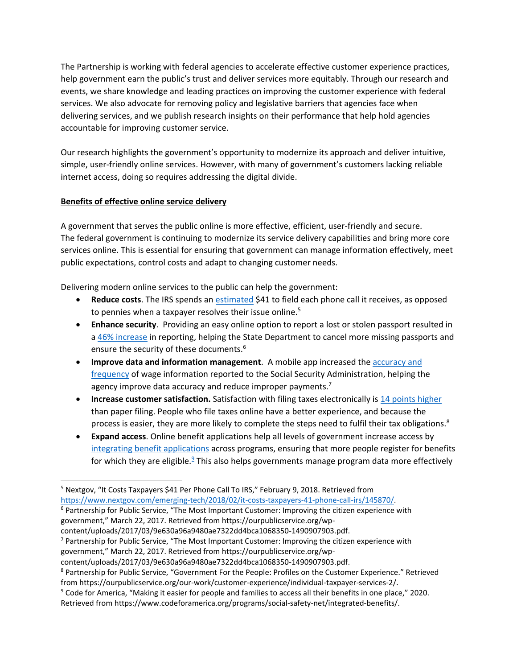The Partnership is working with federal agencies to accelerate effective customer experience practices, help government earn the public's trust and deliver services more equitably. Through our research and events, we share knowledge and leading practices on improving the customer experience with federal services. We also advocate for removing policy and legislative barriers that agencies face when delivering services, and we publish research insights on their performance that help hold agencies accountable for improving customer service.

Our research highlights the government's opportunity to modernize its approach and deliver intuitive, simple, user-friendly online services. However, with many of government's customers lacking reliable internet access, doing so requires addressing the digital divide.

### **Benefits of effective online service delivery**

A government that serves the public online is more effective, efficient, user-friendly and secure. The federal government is continuing to modernize its service delivery capabilities and bring more core services online. This is essential for ensuring that government can manage information effectively, meet public expectations, control costs and adapt to changing customer needs.

Delivering modern online services to the public can help the government:

- **Reduce costs**. The IRS spends an [estimated](https://www.nextgov.com/emerging-tech/2018/02/it-costs-taxpayers-41-phone-call-irs/145870/) \$41 to field each phone call it receives, as opposed to pennies when a taxpayer resolves their issue online.<sup>5</sup>
- **Enhance security**.Providing an easy online option to report a lost or stolen passport resulted in a [46% increase](https://ourpublicservice.org/wp-content/uploads/2017/03/9e630a96a9480ae7322dd4bca1068350-1490907903.pdf) in reporting, helping the State Department to cancel more missing passports and ensure the security of these documents.<sup>6</sup>
- **Improve data and information management**. A mobile app increased th[e accuracy and](https://ourpublicservice.org/wp-content/uploads/2017/03/9e630a96a9480ae7322dd4bca1068350-1490907903.pdf)  [frequency](https://ourpublicservice.org/wp-content/uploads/2017/03/9e630a96a9480ae7322dd4bca1068350-1490907903.pdf) of wage information reported to the Social Security Administration, helping the agency improve data accuracy and reduce improper payments.<sup>7</sup>
- **Increase customer satisfaction.** Satisfaction with filing taxes electronically is [14 points higher](https://ourpublicservice.org/our-work/customer-experience/individual-taxpayer-services-2/) than paper filing. People who file taxes online have a better experience, and because the process is easier, they are more likely to complete the steps need to fulfil their tax obligations.<sup>8</sup>
- **Expand access**. Online benefit applications help all levels of government increase access by [integrating benefit applications](https://www.codeforamerica.org/programs/integrated-benefits) across programs, ensuring that more people register for benefits for which they are eligible.<sup>9</sup> This also helps governments manage program data more effectively

government," March 22, 2017. Retrieved from https://ourpublicservice.org/wp-

<sup>&</sup>lt;sup>5</sup> Nextgov, "It Costs Taxpayers \$41 Per Phone Call To IRS," February 9, 2018. Retrieved from

[https://www.nextgov.com/emerging-tech/2018/02/it-costs-taxpayers-41-phone-call-irs/145870/.](https://www.nextgov.com/emerging-tech/2018/02/it-costs-taxpayers-41-phone-call-irs/145870/) <sup>6</sup> Partnership for Public Service, "The Most Important Customer: Improving the citizen experience with

government," March 22, 2017. Retrieved from https://ourpublicservice.org/wp-

content/uploads/2017/03/9e630a96a9480ae7322dd4bca1068350-1490907903.pdf.

 $7$  Partnership for Public Service, "The Most Important Customer: Improving the citizen experience with

content/uploads/2017/03/9e630a96a9480ae7322dd4bca1068350-1490907903.pdf.

<sup>8</sup> Partnership for Public Service, "Government For the People: Profiles on the Customer Experience." Retrieved from https://ourpublicservice.org/our-work/customer-experience/individual-taxpayer-services-2/.

<sup>9</sup> Code for America, "Making it easier for people and families to access all their benefits in one place," 2020. Retrieved from https://www.codeforamerica.org/programs/social-safety-net/integrated-benefits/.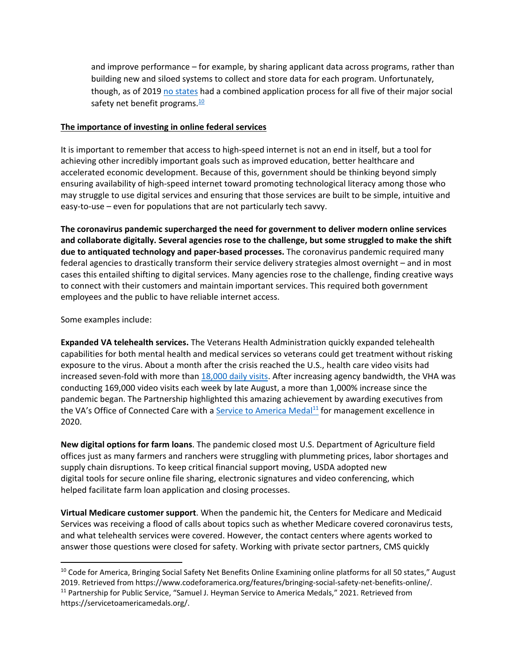and improve performance – for example, by sharing applicant data across programs, rather than building new and siloed systems to collect and store data for each program. Unfortunately, though, as of 2019 [no states](https://www.codeforamerica.org/features/bringing-social-safety-net-benefits-online/) had a combined application process for all five of their major social safety net benefit programs. $\frac{10}{10}$ 

#### **The importance of investing in online federal services**

It is important to remember that access to high-speed internet is not an end in itself, but a tool for achieving other incredibly important goals such as improved education, better healthcare and accelerated economic development. Because of this, government should be thinking beyond simply ensuring availability of high-speed internet toward promoting technological literacy among those who may struggle to use digital services and ensuring that those services are built to be simple, intuitive and easy-to-use – even for populations that are not particularly tech savvy.

**The coronavirus pandemic supercharged the need for government to deliver modern online services and collaborate digitally. Several agencies rose to the challenge, but some struggled to make the shift due to antiquated technology and paper-based processes.** The coronavirus pandemic required many federal agencies to drastically transform their service delivery strategies almost overnight – and in most cases this entailed shifting to digital services. Many agencies rose to the challenge, finding creative ways to connect with their customers and maintain important services. This required both government employees and the public to have reliable internet access.

Some examples include:

**Expanded VA telehealth services.** The Veterans Health Administration quickly expanded telehealth capabilities for both mental health and medical services so veterans could get treatment without risking exposure to the virus. About a month after the crisis reached the U.S., [health care video visits](https://mobile.va.gov/app/va-video-connect) had increased seven-fold with more tha[n 18,000 daily visits.](https://bit.ly/3hmVcQW) After increasing agency bandwidth, the VHA was conducting 169,000 video visits each week by late August, a more than 1,000% increase since the pandemic began. The Partnership highlighted this amazing achievement by awarding executives from the VA's Office of Connected Care with a [Service to America Medal](https://servicetoamericamedals.org/honorees/neil-c-evans-m-d-kathleen-l-frisbee-ph-d-and-kevin-galpin-m-d/)<sup>11</sup> for management excellence in 2020.

**New digital options for farm loans**. The pandemic closed most U.S. Department of Agriculture field offices just as many farmers and ranchers were struggling with plummeting prices, labor shortages and supply chain disruptions. To keep critical financial support moving, USDA adopted new digital tools for secure online file sharing, electronic signatures and video conferencing, which helped facilitate farm loan application and closing processes.

**Virtual Medicare customer support**. When the pandemic hit, the Centers for Medicare and Medicaid Services was receiving a flood of calls about topics such as whether Medicare covered coronavirus tests, and what telehealth services were covered. However, the contact centers where agents worked to answer those questions were closed for safety. Working with private sector partners, CMS quickly

<sup>&</sup>lt;sup>10</sup> Code for America, Bringing Social Safety Net Benefits Online Examining online platforms for all 50 states," August 2019. Retrieved from https://www.codeforamerica.org/features/bringing-social-safety-net-benefits-online/. <sup>11</sup> Partnership for Public Service, "Samuel J. Heyman Service to America Medals," 2021. Retrieved from https://servicetoamericamedals.org/.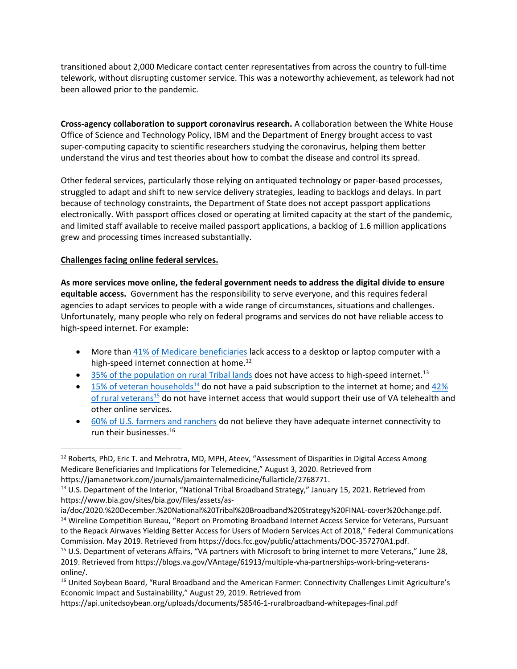transitioned about 2,000 Medicare contact center representatives from across the country to full-time telework, without disrupting customer service. This was a noteworthy achievement, as telework had not been allowed prior to the pandemic.

**Cross-agency collaboration to support coronavirus research.** A collaboration between the White House Office of Science and Technology Policy, IBM and the Department of Energy brought access to vast super-computing capacity to scientific researchers studying the coronavirus, helping them better understand the virus and test theories about how to combat the disease and control its spread.

Other federal services, particularly those relying on antiquated technology or paper-based processes, struggled to adapt and shift to new service delivery strategies, leading to backlogs and delays. In part because of technology constraints, the Department of State does not accept passport applications electronically. With passport offices closed or operating at limited capacity at the start of the pandemic, and limited staff available to receive mailed passport applications, a backlog of 1.6 million applications grew and processing times increased substantially.

#### **Challenges facing online federal services.**

**As more services move online, the federal government needs to address the digital divide to ensure equitable access.** Government has the responsibility to serve everyone, and this requires federal agencies to adapt services to people with a wide range of circumstances, situations and challenges. Unfortunately, many people who rely on federal programs and services do not have reliable access to high-speed internet. For example:

- More than [41% of Medicare beneficiaries](https://jamanetwork.com/journals/jamainternalmedicine/fullarticle/2768771) lack access to a desktop or laptop computer with a high-speed internet connection at home.<sup>12</sup>
- $\bullet$  35% [of the population on rural Tribal lands](https://www.bia.gov/sites/bia.gov/files/assets/as-ia/doc/2020.%20December.%20National%20Tribal%20Broadband%20Strategy%20FINAL-cover%20change.pdf) does not have access to high-speed internet.<sup>13</sup>
- $\bullet$  [15% of veteran households](https://docs.fcc.gov/public/attachments/DOC-357270A1.pdf)<sup>14</sup> do not have a paid subscription to the internet at home; and 42% [of rural veterans](https://blogs.va.gov/VAntage/61913/multiple-vha-partnerships-work-bring-veterans-online/)<sup>15</sup> do not have internet access that would support their use of VA telehealth and other online services.
- [60% of U.S. farmers and ranchers](https://api.unitedsoybean.org/uploads/documents/58546-1-ruralbroadband-whitepages-final.pdf) do not believe they have adequate internet connectivity to run their businesses.<sup>16</sup>

<sup>&</sup>lt;sup>12</sup> Roberts, PhD, Eric T. and Mehrotra, MD, MPH, Ateev, "Assessment of Disparities in Digital Access Among Medicare Beneficiaries and Implications for Telemedicine," August 3, 2020. Retrieved from https://jamanetwork.com/journals/jamainternalmedicine/fullarticle/2768771.

<sup>&</sup>lt;sup>13</sup> U.S. Department of the Interior, "National Tribal Broadband Strategy," January 15, 2021. Retrieved from https://www.bia.gov/sites/bia.gov/files/assets/as-

ia/doc/2020.%20December.%20National%20Tribal%20Broadband%20Strategy%20FINAL-cover%20change.pdf. <sup>14</sup> Wireline Competition Bureau, "Report on Promoting Broadband Internet Access Service for Veterans, Pursuant to the Repack Airwaves Yielding Better Access for Users of Modern Services Act of 2018," Federal Communications Commission. May 2019. Retrieved from https://docs.fcc.gov/public/attachments/DOC-357270A1.pdf.

<sup>&</sup>lt;sup>15</sup> U.S. Department of veterans Affairs, "VA partners with Microsoft to bring internet to more Veterans," June 28, 2019. Retrieved from https://blogs.va.gov/VAntage/61913/multiple-vha-partnerships-work-bring-veteransonline/.

<sup>&</sup>lt;sup>16</sup> United Soybean Board, "Rural Broadband and the American Farmer: Connectivity Challenges Limit Agriculture's Economic Impact and Sustainability," August 29, 2019. Retrieved from

https://api.unitedsoybean.org/uploads/documents/58546-1-ruralbroadband-whitepages-final.pdf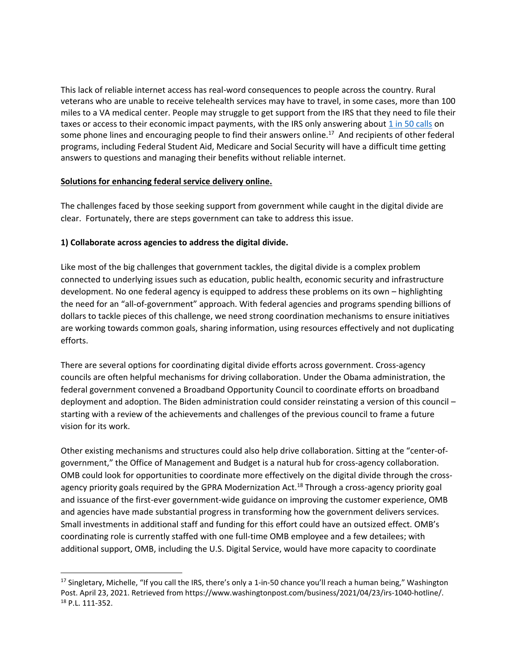This lack of reliable internet access has real-word consequences to people across the country. Rural veterans who are unable to receive telehealth services may have to travel, in some cases, more than 100 miles to a VA medical center. People may struggle to get support from the IRS that they need to file their taxes or access to their economic impact payments, with the IRS only answering about [1 in 50 calls](https://ourpublicservice.sharepoint.com/programs/Government%20Effectiveness/Forms/AllItems.aspx?id=%2Fprograms%2FGovernment%20Effectiveness%2FCustomer%20Experience%202021%20%2D%20AFS%2FGovernment%20for%20the%20People%2FCX%20Profiles%2FIRS%20Profile%2FLiterature%2FThe%20IRS%201040%20hotline%20is%20answering%20only%201%20out%20of%20every%2050%20calls%20%2D%20The%20Washington%20Post%2Epdf&parent=%2Fprograms%2FGovernment%20Effectiveness%2FCustomer%20Experience%202021%20%2D%20AFS%2FGovernment%20for%20the%20People%2FCX%20Profiles%2FIRS%20Profile%2FLiterature) on some phone lines and encouraging people to find their answers online.<sup>17</sup> And recipients of other federal programs, including Federal Student Aid, Medicare and Social Security will have a difficult time getting answers to questions and managing their benefits without reliable internet.

#### **Solutions for enhancing federal service delivery online.**

The challenges faced by those seeking support from government while caught in the digital divide are clear. Fortunately, there are steps government can take to address this issue.

#### **1) Collaborate across agencies to address the digital divide.**

Like most of the big challenges that government tackles, the digital divide is a complex problem connected to underlying issues such as education, public health, economic security and infrastructure development. No one federal agency is equipped to address these problems on its own – highlighting the need for an "all-of-government" approach. With federal agencies and programs spending billions of dollars to tackle pieces of this challenge, we need strong coordination mechanisms to ensure initiatives are working towards common goals, sharing information, using resources effectively and not duplicating efforts.

There are several options for coordinating digital divide efforts across government. Cross-agency councils are often helpful mechanisms for driving collaboration. Under the Obama administration, the federal government convened a Broadband Opportunity Council to coordinate efforts on broadband deployment and adoption. The Biden administration could consider reinstating a version of this council – starting with a review of the achievements and challenges of the previous council to frame a future vision for its work.

Other existing mechanisms and structures could also help drive collaboration. Sitting at the "center-ofgovernment," the Office of Management and Budget is a natural hub for cross-agency collaboration. OMB could look for opportunities to coordinate more effectively on the digital divide through the crossagency priority goals required by the GPRA Modernization Act.<sup>18</sup> Through a cross-agency priority goal and issuance of the first-ever government-wide guidance on improving the customer experience, OMB and agencies have made substantial progress in transforming how the government delivers services. Small investments in additional staff and funding for this effort could have an outsized effect. OMB's coordinating role is currently staffed with one full-time OMB employee and a few detailees; with additional support, OMB, including the U.S. Digital Service, would have more capacity to coordinate

 $17$  Singletary, Michelle, "If you call the IRS, there's only a 1-in-50 chance you'll reach a human being," Washington Post. April 23, 2021. Retrieved from https://www.washingtonpost.com/business/2021/04/23/irs-1040-hotline/. <sup>18</sup> P.L. 111-352.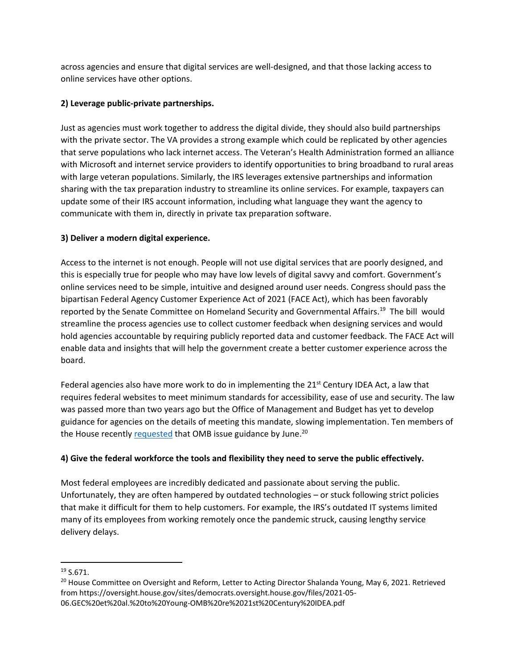across agencies and ensure that digital services are well-designed, and that those lacking access to online services have other options.

### **2) Leverage public-private partnerships.**

Just as agencies must work together to address the digital divide, they should also build partnerships with the private sector. The VA provides a strong example which could be replicated by other agencies that serve populations who lack internet access. The Veteran's Health Administration formed an alliance with Microsoft and internet service providers to identify opportunities to bring broadband to rural areas with large veteran populations. Similarly, the IRS leverages extensive partnerships and information sharing with the tax preparation industry to streamline its online services. For example, taxpayers can update some of their IRS account information, including what language they want the agency to communicate with them in, directly in private tax preparation software.

## **3) Deliver a modern digital experience.**

Access to the internet is not enough. People will not use digital services that are poorly designed, and this is especially true for people who may have low levels of digital savvy and comfort. Government's online services need to be simple, intuitive and designed around user needs. Congress should pass the bipartisan Federal Agency Customer Experience Act of 2021 (FACE Act), which has been favorably reported by the Senate Committee on Homeland Security and Governmental Affairs.<sup>19</sup> The bill would streamline the process agencies use to collect customer feedback when designing services and would hold agencies accountable by requiring publicly reported data and customer feedback. The FACE Act will enable data and insights that will help the government create a better customer experience across the board.

Federal agencies also have more work to do in implementing the  $21<sup>st</sup>$  Century IDEA Act, a law that requires federal websites to meet minimum standards for accessibility, ease of use and security. The law was passed more than two years ago but the Office of Management and Budget has yet to develop guidance for agencies on the details of meeting this mandate, slowing implementation. Ten members of the House recently **[requested](https://oversight.house.gov/sites/democrats.oversight.house.gov/files/2021-05-06.GEC%20et%20al.%20to%20Young-OMB%20re%2021st%20Century%20IDEA.pdf)** that OMB issue guidance by June.<sup>20</sup>

## **4) Give the federal workforce the tools and flexibility they need to serve the public effectively.**

Most federal employees are incredibly dedicated and passionate about serving the public. Unfortunately, they are often hampered by outdated technologies – or stuck following strict policies that make it difficult for them to help customers. For example, the IRS's outdated IT systems limited many of its employees from working remotely once the pandemic struck, causing lengthy service delivery delays.

<sup>19</sup> S.671.

<sup>&</sup>lt;sup>20</sup> House Committee on Oversight and Reform, Letter to Acting Director Shalanda Young, May 6, 2021. Retrieved from https://oversight.house.gov/sites/democrats.oversight.house.gov/files/2021-05- 06.GEC%20et%20al.%20to%20Young-OMB%20re%2021st%20Century%20IDEA.pdf